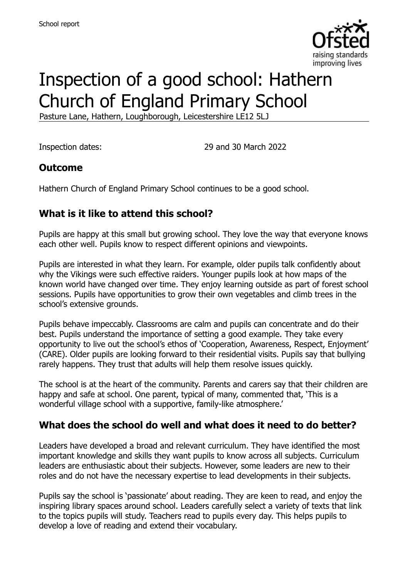

# Inspection of a good school: Hathern Church of England Primary School

Pasture Lane, Hathern, Loughborough, Leicestershire LE12 5LJ

Inspection dates: 29 and 30 March 2022

### **Outcome**

Hathern Church of England Primary School continues to be a good school.

# **What is it like to attend this school?**

Pupils are happy at this small but growing school. They love the way that everyone knows each other well. Pupils know to respect different opinions and viewpoints.

Pupils are interested in what they learn. For example, older pupils talk confidently about why the Vikings were such effective raiders. Younger pupils look at how maps of the known world have changed over time. They enjoy learning outside as part of forest school sessions. Pupils have opportunities to grow their own vegetables and climb trees in the school's extensive grounds.

Pupils behave impeccably. Classrooms are calm and pupils can concentrate and do their best. Pupils understand the importance of setting a good example. They take every opportunity to live out the school's ethos of 'Cooperation, Awareness, Respect, Enjoyment' (CARE). Older pupils are looking forward to their residential visits. Pupils say that bullying rarely happens. They trust that adults will help them resolve issues quickly.

The school is at the heart of the community. Parents and carers say that their children are happy and safe at school. One parent, typical of many, commented that, 'This is a wonderful village school with a supportive, family-like atmosphere.'

### **What does the school do well and what does it need to do better?**

Leaders have developed a broad and relevant curriculum. They have identified the most important knowledge and skills they want pupils to know across all subjects. Curriculum leaders are enthusiastic about their subjects. However, some leaders are new to their roles and do not have the necessary expertise to lead developments in their subjects.

Pupils say the school is 'passionate' about reading. They are keen to read, and enjoy the inspiring library spaces around school. Leaders carefully select a variety of texts that link to the topics pupils will study. Teachers read to pupils every day. This helps pupils to develop a love of reading and extend their vocabulary.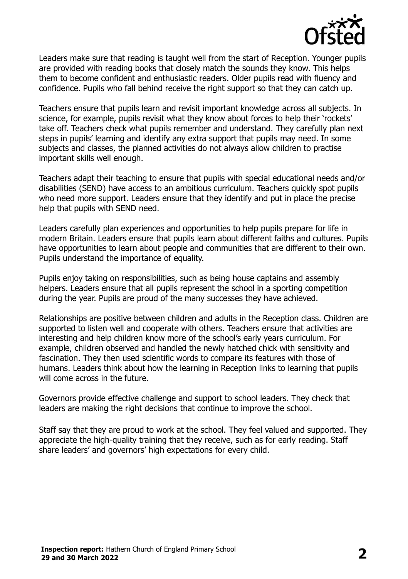

Leaders make sure that reading is taught well from the start of Reception. Younger pupils are provided with reading books that closely match the sounds they know. This helps them to become confident and enthusiastic readers. Older pupils read with fluency and confidence. Pupils who fall behind receive the right support so that they can catch up.

Teachers ensure that pupils learn and revisit important knowledge across all subjects. In science, for example, pupils revisit what they know about forces to help their 'rockets' take off. Teachers check what pupils remember and understand. They carefully plan next steps in pupils' learning and identify any extra support that pupils may need. In some subjects and classes, the planned activities do not always allow children to practise important skills well enough.

Teachers adapt their teaching to ensure that pupils with special educational needs and/or disabilities (SEND) have access to an ambitious curriculum. Teachers quickly spot pupils who need more support. Leaders ensure that they identify and put in place the precise help that pupils with SEND need.

Leaders carefully plan experiences and opportunities to help pupils prepare for life in modern Britain. Leaders ensure that pupils learn about different faiths and cultures. Pupils have opportunities to learn about people and communities that are different to their own. Pupils understand the importance of equality.

Pupils enjoy taking on responsibilities, such as being house captains and assembly helpers. Leaders ensure that all pupils represent the school in a sporting competition during the year. Pupils are proud of the many successes they have achieved.

Relationships are positive between children and adults in the Reception class. Children are supported to listen well and cooperate with others. Teachers ensure that activities are interesting and help children know more of the school's early years curriculum. For example, children observed and handled the newly hatched chick with sensitivity and fascination. They then used scientific words to compare its features with those of humans. Leaders think about how the learning in Reception links to learning that pupils will come across in the future.

Governors provide effective challenge and support to school leaders. They check that leaders are making the right decisions that continue to improve the school.

Staff say that they are proud to work at the school. They feel valued and supported. They appreciate the high-quality training that they receive, such as for early reading. Staff share leaders' and governors' high expectations for every child.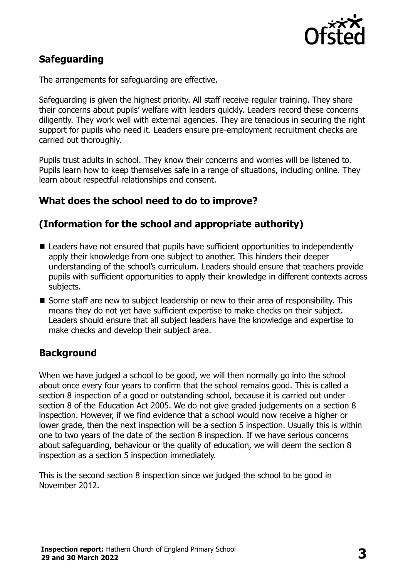

# **Safeguarding**

The arrangements for safeguarding are effective.

Safeguarding is given the highest priority. All staff receive regular training. They share their concerns about pupils' welfare with leaders quickly. Leaders record these concerns diligently. They work well with external agencies. They are tenacious in securing the right support for pupils who need it. Leaders ensure pre-employment recruitment checks are carried out thoroughly.

Pupils trust adults in school. They know their concerns and worries will be listened to. Pupils learn how to keep themselves safe in a range of situations, including online. They learn about respectful relationships and consent.

# **What does the school need to do to improve?**

# **(Information for the school and appropriate authority)**

- Leaders have not ensured that pupils have sufficient opportunities to independently apply their knowledge from one subject to another. This hinders their deeper understanding of the school's curriculum. Leaders should ensure that teachers provide pupils with sufficient opportunities to apply their knowledge in different contexts across subjects.
- Some staff are new to subject leadership or new to their area of responsibility. This means they do not yet have sufficient expertise to make checks on their subject. Leaders should ensure that all subject leaders have the knowledge and expertise to make checks and develop their subject area.

### **Background**

When we have judged a school to be good, we will then normally go into the school about once every four years to confirm that the school remains good. This is called a section 8 inspection of a good or outstanding school, because it is carried out under section 8 of the Education Act 2005. We do not give graded judgements on a section 8 inspection. However, if we find evidence that a school would now receive a higher or lower grade, then the next inspection will be a section 5 inspection. Usually this is within one to two years of the date of the section 8 inspection. If we have serious concerns about safeguarding, behaviour or the quality of education, we will deem the section 8 inspection as a section 5 inspection immediately.

This is the second section 8 inspection since we judged the school to be good in November 2012.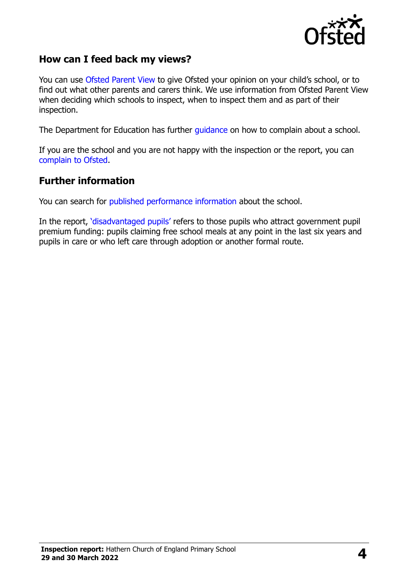

### **How can I feed back my views?**

You can use [Ofsted Parent View](https://parentview.ofsted.gov.uk/) to give Ofsted your opinion on your child's school, or to find out what other parents and carers think. We use information from Ofsted Parent View when deciding which schools to inspect, when to inspect them and as part of their inspection.

The Department for Education has further [guidance](http://www.gov.uk/complain-about-school) on how to complain about a school.

If you are the school and you are not happy with the inspection or the report, you can [complain to Ofsted.](https://www.gov.uk/complain-ofsted-report)

#### **Further information**

You can search for [published performance information](http://www.compare-school-performance.service.gov.uk/) about the school.

In the report, '[disadvantaged pupils](http://www.gov.uk/guidance/pupil-premium-information-for-schools-and-alternative-provision-settings)' refers to those pupils who attract government pupil premium funding: pupils claiming free school meals at any point in the last six years and pupils in care or who left care through adoption or another formal route.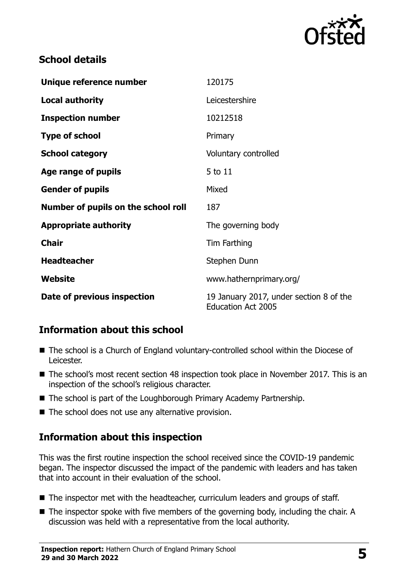

# **School details**

| Unique reference number             | 120175                                                               |
|-------------------------------------|----------------------------------------------------------------------|
| <b>Local authority</b>              | Leicestershire                                                       |
| <b>Inspection number</b>            | 10212518                                                             |
| <b>Type of school</b>               | Primary                                                              |
| <b>School category</b>              | Voluntary controlled                                                 |
| Age range of pupils                 | 5 to 11                                                              |
| <b>Gender of pupils</b>             | Mixed                                                                |
| Number of pupils on the school roll | 187                                                                  |
| <b>Appropriate authority</b>        | The governing body                                                   |
| <b>Chair</b>                        | Tim Farthing                                                         |
| <b>Headteacher</b>                  | Stephen Dunn                                                         |
| Website                             | www.hathernprimary.org/                                              |
| Date of previous inspection         | 19 January 2017, under section 8 of the<br><b>Education Act 2005</b> |

# **Information about this school**

- The school is a Church of England voluntary-controlled school within the Diocese of Leicester.
- The school's most recent section 48 inspection took place in November 2017. This is an inspection of the school's religious character.
- The school is part of the Loughborough Primary Academy Partnership.
- The school does not use any alternative provision.

# **Information about this inspection**

This was the first routine inspection the school received since the COVID-19 pandemic began. The inspector discussed the impact of the pandemic with leaders and has taken that into account in their evaluation of the school.

- The inspector met with the headteacher, curriculum leaders and groups of staff.
- The inspector spoke with five members of the governing body, including the chair. A discussion was held with a representative from the local authority.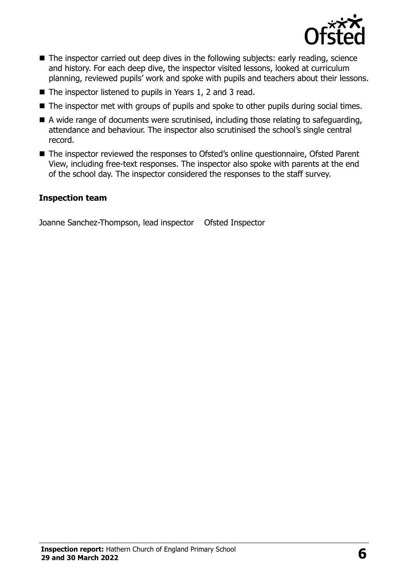

- The inspector carried out deep dives in the following subjects: early reading, science and history. For each deep dive, the inspector visited lessons, looked at curriculum planning, reviewed pupils' work and spoke with pupils and teachers about their lessons.
- The inspector listened to pupils in Years 1, 2 and 3 read.
- The inspector met with groups of pupils and spoke to other pupils during social times.
- A wide range of documents were scrutinised, including those relating to safeguarding, attendance and behaviour. The inspector also scrutinised the school's single central record.
- The inspector reviewed the responses to Ofsted's online questionnaire, Ofsted Parent View, including free-text responses. The inspector also spoke with parents at the end of the school day. The inspector considered the responses to the staff survey.

#### **Inspection team**

Joanne Sanchez-Thompson, lead inspector Ofsted Inspector